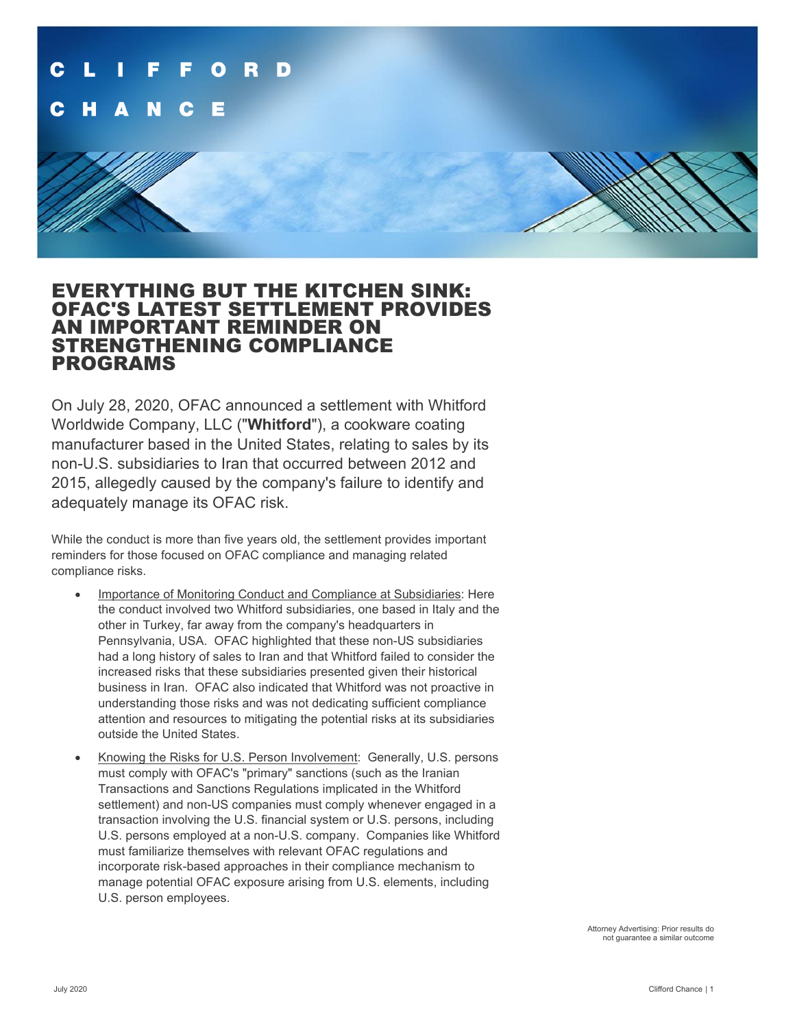

## EVERYTHING BUT THE KITCHEN SINK: OFAC'S LATEST SETTLEMENT PROVIDES AN IMPORTANT REMINDER ON STRENGTHENING COMPLIANCE PROGRAMS

On July 28, 2020, OFAC announced a settlement with Whitford Worldwide Company, LLC ("**Whitford**"), a cookware coating manufacturer based in the United States, relating to sales by its non-U.S. subsidiaries to Iran that occurred between 2012 and 2015, allegedly caused by the company's failure to identify and adequately manage its OFAC risk.

While the conduct is more than five years old, the settlement provides important reminders for those focused on OFAC compliance and managing related compliance risks.

- Importance of Monitoring Conduct and Compliance at Subsidiaries: Here the conduct involved two Whitford subsidiaries, one based in Italy and the other in Turkey, far away from the company's headquarters in Pennsylvania, USA. OFAC highlighted that these non-US subsidiaries had a long history of sales to Iran and that Whitford failed to consider the increased risks that these subsidiaries presented given their historical business in Iran. OFAC also indicated that Whitford was not proactive in understanding those risks and was not dedicating sufficient compliance attention and resources to mitigating the potential risks at its subsidiaries outside the United States.
- Knowing the Risks for U.S. Person Involvement: Generally, U.S. persons must comply with OFAC's "primary" sanctions (such as the Iranian Transactions and Sanctions Regulations implicated in the Whitford settlement) and non-US companies must comply whenever engaged in a transaction involving the U.S. financial system or U.S. persons, including U.S. persons employed at a non-U.S. company. Companies like Whitford must familiarize themselves with relevant OFAC regulations and incorporate risk-based approaches in their compliance mechanism to manage potential OFAC exposure arising from U.S. elements, including U.S. person employees.

Attorney Advertising: Prior results do not guarantee a similar outcome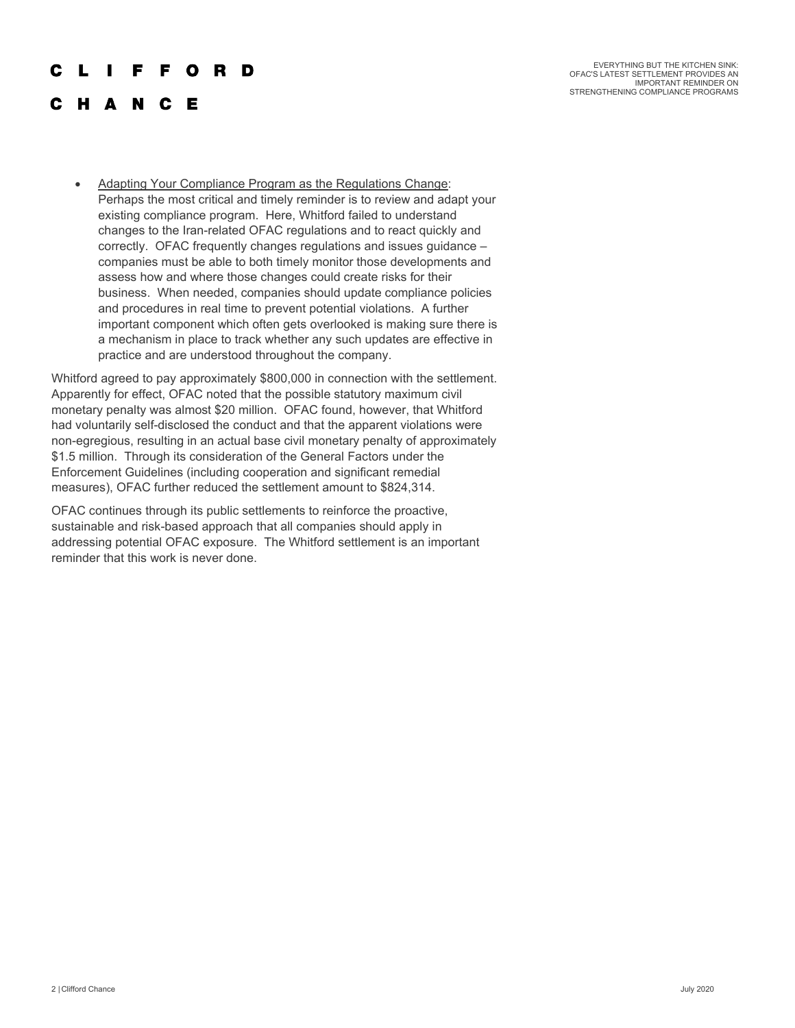## F O R D r L F.

EVERYTHING BUT THE KITCHEN SINK: OFAC'S LATEST SETTLEMENT PROVIDES AN IMPORTANT REMINDER ON STRENGTHENING COMPLIANCE PROGRAMS

- **HANCE** 
	- Adapting Your Compliance Program as the Regulations Change: Perhaps the most critical and timely reminder is to review and adapt your existing compliance program. Here, Whitford failed to understand changes to the Iran-related OFAC regulations and to react quickly and correctly. OFAC frequently changes regulations and issues guidance – companies must be able to both timely monitor those developments and assess how and where those changes could create risks for their business. When needed, companies should update compliance policies and procedures in real time to prevent potential violations. A further important component which often gets overlooked is making sure there is a mechanism in place to track whether any such updates are effective in practice and are understood throughout the company.

Whitford agreed to pay approximately \$800,000 in connection with the settlement. Apparently for effect, OFAC noted that the possible statutory maximum civil monetary penalty was almost \$20 million. OFAC found, however, that Whitford had voluntarily self-disclosed the conduct and that the apparent violations were non-egregious, resulting in an actual base civil monetary penalty of approximately \$1.5 million. Through its consideration of the General Factors under the Enforcement Guidelines (including cooperation and significant remedial measures), OFAC further reduced the settlement amount to \$824,314.

OFAC continues through its public settlements to reinforce the proactive, sustainable and risk-based approach that all companies should apply in addressing potential OFAC exposure. The Whitford settlement is an important reminder that this work is never done.